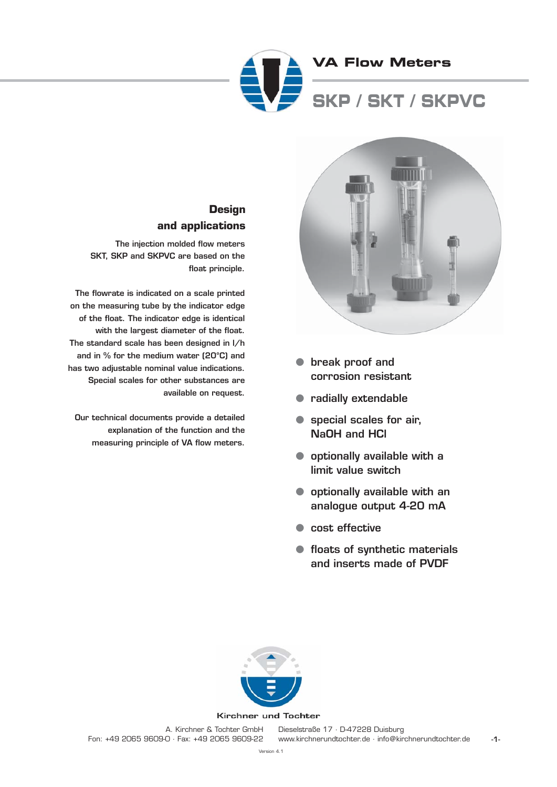



- **break proof and corrosion resistant**
- **radially extendable**
- **special scales for air, NaOH and HCl**
- **optionally available with a limit value switch**
- **optionally available with an analogue output 4-20 mA**
- **cost effective**
- **floats of synthetic materials and inserts made of PVDF**

## **Design and applications**

**The injection molded flow meters SKT, SKP and SKPVC are based on the float principle.** 

**The flowrate is indicated on a scale printed on the measuring tube by the indicator edge of the float. The indicator edge is identical with the largest diameter of the float. The standard scale has been designed in l/h and in % for the medium water (20°C) and has two adjustable nominal value indications. Special scales for other substances are available on request.** 

**Our technical documents provide a detailed explanation of the function and the measuring principle of VA flow meters.**



#### Kirchner und Tochter

A. Kirchner & Tochter GmbH Fon: +49 2065 9609-0 · Fax: +49 2065 9609-22

**-1-** Dieselstraße 17 · D-47228 Duisburg www.kirchnerundtochter.de · info@kirchnerundtochter.de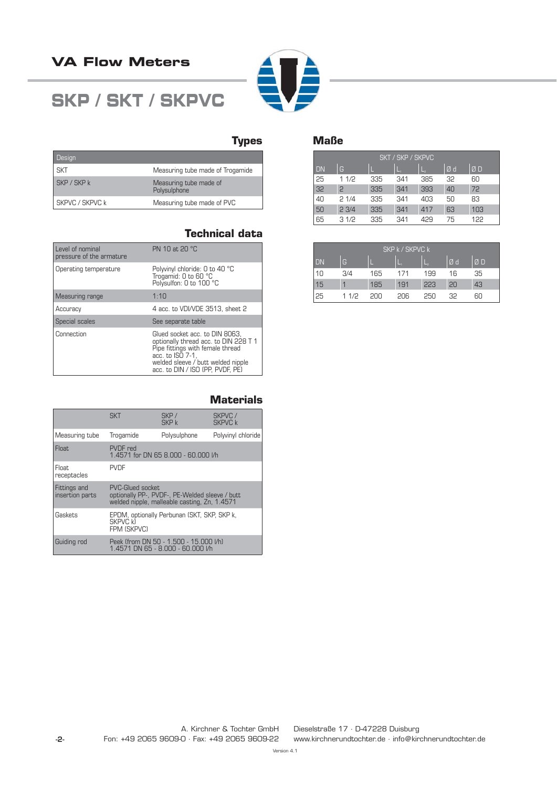## **VA Flow Meters**

# **SKP / SKT / SKPVC**



## **Types**

| Design          |                                        |
|-----------------|----------------------------------------|
| <b>SKT</b>      | Measuring tube made of Trogamide       |
| SKP / SKP k     | Measuring tube made of<br>Polysulphone |
| SKPVC / SKPVC k | Measuring tube made of PVC             |

## **Technical data**

| Level of nominal<br>pressure of the armature | PN 10 at 20 °C                                                                                                                                                                                            |
|----------------------------------------------|-----------------------------------------------------------------------------------------------------------------------------------------------------------------------------------------------------------|
| Operating temperature                        | Polyvinyl chloride: 0 to 40 °C<br>Trogamid: 0 to 60 °C<br>Polysulfon: 0 to 100 °C                                                                                                                         |
| Measuring range                              | 1:10                                                                                                                                                                                                      |
| Accuracy                                     | 4 acc. to VDI/VDE 3513, sheet 2                                                                                                                                                                           |
| Special scales                               | See separate table                                                                                                                                                                                        |
| Connection                                   | Glued socket acc. to DIN 8063.<br>optionally thread acc. to DIN 228 T 1<br>Pipe fittings with female thread<br>acc. to ISO 7-1.<br>welded sleeve / butt welded nipple<br>acc. to DIN / ISO (PP, PVDF, PE) |

#### **Materials**

|                                 | <b>SKT</b>                                                                                                         | SKP/<br>SKP k | SKPVC /<br><b>SKPVC k</b> |  |
|---------------------------------|--------------------------------------------------------------------------------------------------------------------|---------------|---------------------------|--|
| Measuring tube                  | Trogamide                                                                                                          | Polysulphone  | Polyvinyl chloride        |  |
| <b>Float</b>                    | PVDF red<br>1.4571 for DN 65 8.000 - 60.000 l/h                                                                    |               |                           |  |
| <b>Float</b><br>receptacles     | <b>PVDF</b>                                                                                                        |               |                           |  |
| Fittings and<br>insertion parts | PVC-Glued socket<br>optionally PP-, PVDF-, PE-Welded sleeve / butt<br>welded nipple, malleable casting, Zn, 1.4571 |               |                           |  |
| Gaskets                         | EPDM, optionally Perbunan (SKT, SKP, SKP k,<br><b>SKPVC k)</b><br><b>FPM (SKPVC)</b>                               |               |                           |  |
| Guiding rod                     | Peek (from DN 50 - 1.500 - 15.000 I/h)<br>1.4571 DN 65 - 8.000 - 60.000 l/h                                        |               |                           |  |

#### **Maße**

| SKT / SKP / SKPVC |         |     |     |     |    |     |
|-------------------|---------|-----|-----|-----|----|-----|
| <b>DN</b>         | G       |     |     |     | Ød | ØD  |
| 25                | 1 $1/2$ | 335 | 341 | 385 | 32 | 60  |
| 32                | 2       | 335 | 341 | 393 | 40 | 72  |
| 40                | 21/4    | 335 | 341 | 403 | 50 | 83  |
| 50                | 23/4    | 335 | 341 | 417 | 63 | 103 |
| 65                | 31/2    | 335 | 341 | 429 | 75 | 122 |

| SKP k / SKPVC k |      |     |     |     |    |    |
|-----------------|------|-----|-----|-----|----|----|
| <b>DN</b>       | G    |     |     |     | Ød | ØD |
| 10              | 3/4  | 165 | 171 | 199 | 16 | 35 |
| 15              |      | 185 | 191 | 223 | 20 | 43 |
| 25              | 11/2 | onq | 206 | 250 | 32 | ĥП |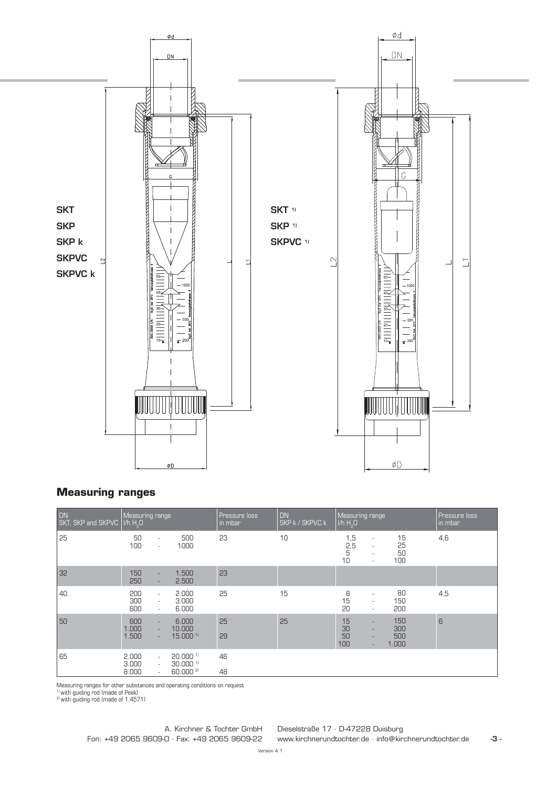

## **Measuring ranges**

| DN<br>SKT, SKP and SKPVC   I/h H <sub>2</sub> O | Measuring range         |                                                                                                           | <b>Pressure loss</b><br>in mbar | DN<br><b>SKP k / SKPVC k</b> | Measuring range<br>$ V h H2$ O |                                                                                                              |                            | <b>Pressure loss</b><br>in mbar |
|-------------------------------------------------|-------------------------|-----------------------------------------------------------------------------------------------------------|---------------------------------|------------------------------|--------------------------------|--------------------------------------------------------------------------------------------------------------|----------------------------|---------------------------------|
| 25                                              | 50<br>100               | 500<br>$\sim$<br>1000<br>$\sim$                                                                           | 23                              | 10                           | 1,5<br>2,5<br>5<br>10          | $\overline{\phantom{a}}$<br>$\overline{\phantom{a}}$<br>$\overline{\phantom{a}}$<br>$\overline{\phantom{a}}$ | 15<br>25<br>50<br>100      | 4,6                             |
| 32                                              | 150<br>250              | 1.500<br>$\sim$<br>2.500<br>$\sim$                                                                        | 23                              |                              |                                |                                                                                                              |                            |                                 |
| 40                                              | 200<br>300<br>600       | 2.000<br>$\sim$<br>3.000<br>$\sim$<br>6.000<br>$\sim$                                                     | 25                              | 15                           | 8<br>15<br>20                  | $\overline{\phantom{a}}$<br>$\sim$<br>$\bar{a}$                                                              | 80<br>150<br>200           | 4,5                             |
| 50                                              | 600<br>1.000<br>1.500   | 6.000<br>$\sim$<br>10,000<br>$\sim$<br>$15.000$ <sup>11</sup><br>$\sim$                                   | 25<br>29                        | 25                           | 15<br>30<br>50<br>100          | ٠<br>$\overline{\phantom{a}}$<br>$\overline{\phantom{a}}$<br>٠                                               | 150<br>300<br>500<br>1.000 | 6                               |
| 65                                              | 2.000<br>3.000<br>8.000 | $20.000$ <sup>11</sup><br>$\sim$<br>$30.000$ <sup>11</sup><br>$\bar{a}$<br>60.000 <sup>2)</sup><br>$\sim$ | 46<br>48                        |                              |                                |                                                                                                              |                            |                                 |

Measuring ranges for other substances and operating conditions on request<br><sup>1)</sup> with guiding rod (made of Peek)<br><sup>2)</sup> with guiding rod (made of 1.4571)

Dieselstraße 17 · D-47228 Duisburg www.kirchnerundtochter.de · info@kirchnerundtochter.de A. Kirchner & Tochter GmbH Fon: +49 2065 9609-0 · Fax: +49 2065 9609-22

**-3 -**